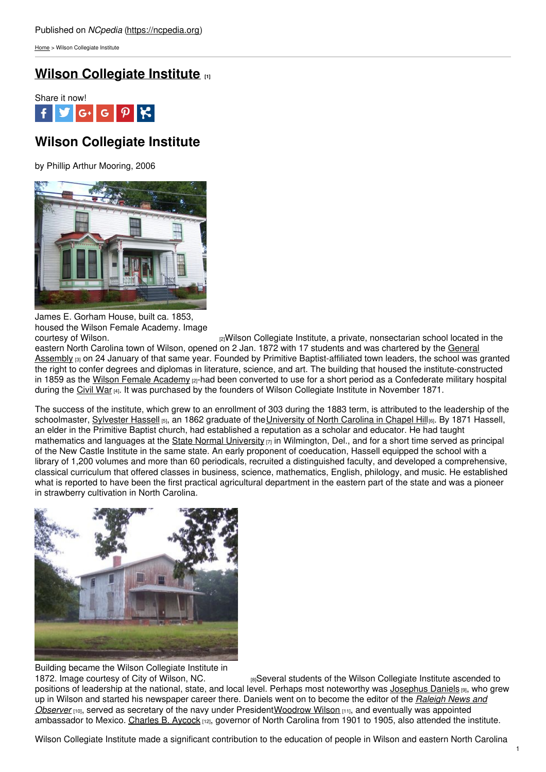[Home](https://ncpedia.org/) > Wilson Collegiate Institute

## **Wilson [Collegiate](https://ncpedia.org/wilson-collegiate-institute) Institute [1]**



# **Wilson Collegiate Institute**

by Phillip Arthur Mooring, 2006



James E. Gorham House, built ca. 1853, housed the Wilson Female Academy. Image

[2] Wilson Collegiate Institute, a private, nonsectarian school located in the eastern North Carolina town of Wilson, opened on 2 Jan. 1872 with 17 students and was chartered by the General Assembly [3] on 24 January of that same year. Founded by Primitive [Baptist-affiliated](https://ncpedia.org/general-assembly) town leaders, the school was granted the right to confer degrees and diplomas in literature, science, and art. The building that housed the institute-constructed in 1859 as the Wilson Female [Academy](http://www.wilsonnc.org/departments/developmentservices/historicpreservation/historiclandmarks/?LOCID=32484)  $_{[2]}$ -had been converted to use for a short period as a Confederate military hospital during the [Civil](https://ncpedia.org/history/cw-1900/civil-war) War [4]. It was purchased by the founders of Wilson Collegiate Institute in November 1871.

The success of the institute, which grew to an enrollment of 303 during the 1883 term, is attributed to the leadership of the schoolmaster, [Sylvester](http://www.lib.unc.edu/mss/inv/h/Hassell,Sylvester.html) Hassell [5], an 1862 graduate of the [University](https://ncpedia.org/university-north-carolina-chapel-hi) of North Carolina in Chapel Hill[6]. By 1871 Hassell, an elder in the Primitive Baptist church, had established a reputation as a scholar and educator. He had taught mathematics and languages at the State Normal [University](https://www.worldcat.org/title/second-annual-report-and-catalogue-of-the-state-normal-university-wilmington-delaware-1867-8/oclc/043460628)  $[7]$  in Wilmington, Del., and for a short time served as principal of the New Castle Institute in the same state. An early proponent of coeducation, Hassell equipped the school with a library of 1,200 volumes and more than 60 periodicals, recruited a distinguished faculty, and developed a comprehensive, classical curriculum that offered classes in business, science, mathematics, English, philology, and music. He established what is reported to have been the first practical agricultural department in the eastern part of the state and was a pioneer in strawberry cultivation in North Carolina.



Building became the Wilson Collegiate Institute in

1872. Image [courtesy](http://www.wilsonnc.org/departments/developmentservices/historicpreservation/historiclandmarks?LOCID=64122) of City of Wilson, NC. *IIISeveral students of the Wilson Collegiate Institute ascended to* positions of leadership at the national, state, and local level. Perhaps most noteworthy was [Josephus](https://ncpedia.org/daniels-josephus) Daniels [9], who grew up in Wilson and started his newspaper career there. Daniels went on to become the editor of the *Raleigh News and Observer* [10], served as secretary of the navy under [President](https://ncpedia.org/raleigh-news-and-observer)[Woodrow](https://www.whitehouse.gov/about/presidents/woodrowwilson) Wilson [11], and eventually was appointed ambassador to Mexico. [Charles](https://ncpedia.org/biography/governors/aycock) B. Aycock [12], governor of North Carolina from 1901 to 1905, also attended the institute.

Wilson Collegiate Institute made a significant contribution to the education of people in Wilson and eastern North Carolina